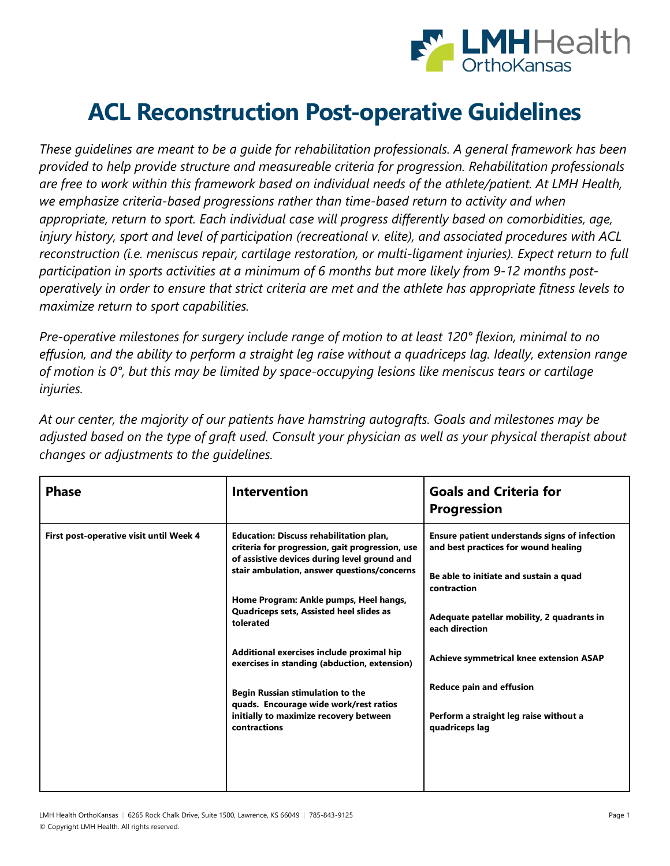

## **ACL Reconstruction Post-operative Guidelines**

*These guidelines are meant to be a guide for rehabilitation professionals. A general framework has been provided to help provide structure and measureable criteria for progression. Rehabilitation professionals are free to work within this framework based on individual needs of the athlete/patient. At LMH Health, we emphasize criteria-based progressions rather than time-based return to activity and when appropriate, return to sport. Each individual case will progress differently based on comorbidities, age, injury history, sport and level of participation (recreational v. elite), and associated procedures with ACL reconstruction (i.e. meniscus repair, cartilage restoration, or multi-ligament injuries). Expect return to full participation in sports activities at a minimum of 6 months but more likely from 9-12 months postoperatively in order to ensure that strict criteria are met and the athlete has appropriate fitness levels to maximize return to sport capabilities.*

*Pre-operative milestones for surgery include range of motion to at least 120° flexion, minimal to no effusion, and the ability to perform a straight leg raise without a quadriceps lag. Ideally, extension range of motion is 0°, but this may be limited by space-occupying lesions like meniscus tears or cartilage injuries.*

*At our center, the majority of our patients have hamstring autografts. Goals and milestones may be adjusted based on the type of graft used. Consult your physician as well as your physical therapist about changes or adjustments to the guidelines.*

| <b>Phase</b>                                                                                                                                                                                                                                                                                                                                                                                                                                                                                                                                                                               | <b>Intervention</b>             | <b>Goals and Criteria for</b><br><b>Progression</b>                                                                                                   |
|--------------------------------------------------------------------------------------------------------------------------------------------------------------------------------------------------------------------------------------------------------------------------------------------------------------------------------------------------------------------------------------------------------------------------------------------------------------------------------------------------------------------------------------------------------------------------------------------|---------------------------------|-------------------------------------------------------------------------------------------------------------------------------------------------------|
| First post-operative visit until Week 4<br><b>Education: Discuss rehabilitation plan,</b><br>criteria for progression, gait progression, use<br>of assistive devices during level ground and<br>stair ambulation, answer questions/concerns<br>Home Program: Ankle pumps, Heel hangs,<br>Quadriceps sets, Assisted heel slides as<br>tolerated<br>Additional exercises include proximal hip<br>exercises in standing (abduction, extension)<br><b>Begin Russian stimulation to the</b><br>quads. Encourage wide work/rest ratios<br>initially to maximize recovery between<br>contractions |                                 | <b>Ensure patient understands signs of infection</b><br>and best practices for wound healing<br>Be able to initiate and sustain a quad<br>contraction |
|                                                                                                                                                                                                                                                                                                                                                                                                                                                                                                                                                                                            |                                 | Adequate patellar mobility, 2 quadrants in<br>each direction                                                                                          |
|                                                                                                                                                                                                                                                                                                                                                                                                                                                                                                                                                                                            |                                 | Achieve symmetrical knee extension ASAP                                                                                                               |
|                                                                                                                                                                                                                                                                                                                                                                                                                                                                                                                                                                                            | <b>Reduce pain and effusion</b> |                                                                                                                                                       |
|                                                                                                                                                                                                                                                                                                                                                                                                                                                                                                                                                                                            |                                 | Perform a straight leg raise without a<br>quadriceps lag                                                                                              |
|                                                                                                                                                                                                                                                                                                                                                                                                                                                                                                                                                                                            |                                 |                                                                                                                                                       |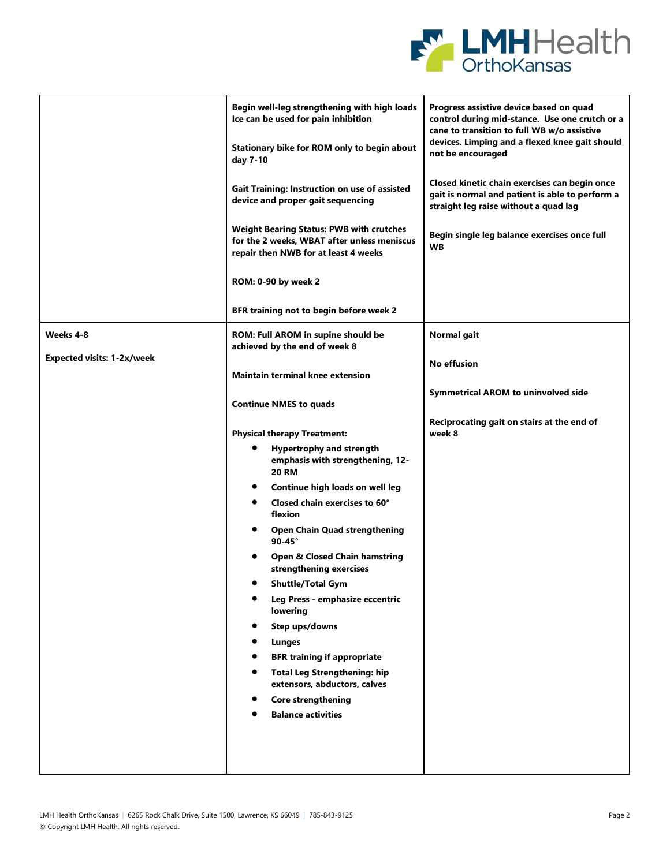

|                                   | Begin well-leg strengthening with high loads<br>Ice can be used for pain inhibition                                                    | Progress assistive device based on quad<br>control during mid-stance. Use one crutch or a<br>cane to transition to full WB w/o assistive  |
|-----------------------------------|----------------------------------------------------------------------------------------------------------------------------------------|-------------------------------------------------------------------------------------------------------------------------------------------|
|                                   | Stationary bike for ROM only to begin about<br>day 7-10                                                                                | devices. Limping and a flexed knee gait should<br>not be encouraged                                                                       |
|                                   | Gait Training: Instruction on use of assisted<br>device and proper gait sequencing                                                     | Closed kinetic chain exercises can begin once<br>gait is normal and patient is able to perform a<br>straight leg raise without a quad lag |
|                                   | <b>Weight Bearing Status: PWB with crutches</b><br>for the 2 weeks, WBAT after unless meniscus<br>repair then NWB for at least 4 weeks | Begin single leg balance exercises once full<br><b>WB</b>                                                                                 |
|                                   | ROM: 0-90 by week 2                                                                                                                    |                                                                                                                                           |
|                                   | BFR training not to begin before week 2                                                                                                |                                                                                                                                           |
| Weeks 4-8                         | ROM: Full AROM in supine should be<br>achieved by the end of week 8                                                                    | Normal gait                                                                                                                               |
| <b>Expected visits: 1-2x/week</b> | <b>Maintain terminal knee extension</b>                                                                                                | No effusion                                                                                                                               |
|                                   | <b>Continue NMES to quads</b>                                                                                                          | <b>Symmetrical AROM to uninvolved side</b>                                                                                                |
|                                   | <b>Physical therapy Treatment:</b>                                                                                                     | Reciprocating gait on stairs at the end of<br>week 8                                                                                      |
|                                   | <b>Hypertrophy and strength</b><br>emphasis with strengthening, 12-<br><b>20 RM</b>                                                    |                                                                                                                                           |
|                                   | Continue high loads on well leg                                                                                                        |                                                                                                                                           |
|                                   | Closed chain exercises to 60°<br>٠<br>flexion                                                                                          |                                                                                                                                           |
|                                   | <b>Open Chain Quad strengthening</b><br>$90-45^\circ$                                                                                  |                                                                                                                                           |
|                                   | Open & Closed Chain hamstring<br>strengthening exercises                                                                               |                                                                                                                                           |
|                                   | <b>Shuttle/Total Gym</b>                                                                                                               |                                                                                                                                           |
|                                   | Leg Press - emphasize eccentric<br>lowering                                                                                            |                                                                                                                                           |
|                                   | Step ups/downs                                                                                                                         |                                                                                                                                           |
|                                   | Lunges                                                                                                                                 |                                                                                                                                           |
|                                   | <b>BFR training if appropriate</b>                                                                                                     |                                                                                                                                           |
|                                   | <b>Total Leg Strengthening: hip</b><br>extensors, abductors, calves                                                                    |                                                                                                                                           |
|                                   | <b>Core strengthening</b>                                                                                                              |                                                                                                                                           |
|                                   | <b>Balance activities</b>                                                                                                              |                                                                                                                                           |
|                                   |                                                                                                                                        |                                                                                                                                           |
|                                   |                                                                                                                                        |                                                                                                                                           |
|                                   |                                                                                                                                        |                                                                                                                                           |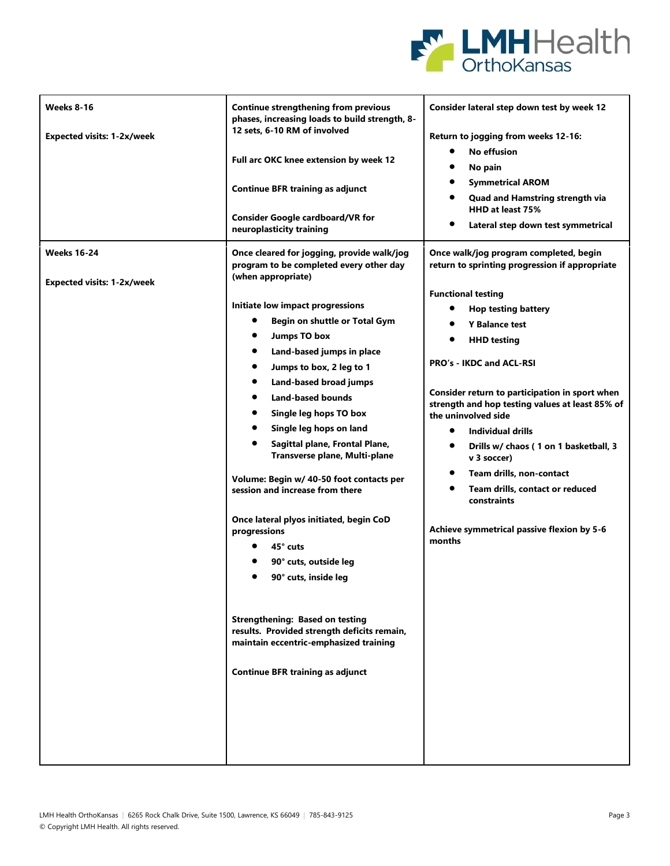

| <b>Weeks 8-16</b><br><b>Expected visits: 1-2x/week</b>  | <b>Continue strengthening from previous</b><br>phases, increasing loads to build strength, 8-<br>12 sets, 6-10 RM of involved<br>Full arc OKC knee extension by week 12<br><b>Continue BFR training as adjunct</b><br><b>Consider Google cardboard/VR for</b><br>neuroplasticity training                                                                                                                                                                                                                                                                                                                                                                                                                                                                                       | Consider lateral step down test by week 12<br>Return to jogging from weeks 12-16:<br><b>No effusion</b><br>$\bullet$<br>No pain<br><b>Symmetrical AROM</b><br>$\bullet$<br>Quad and Hamstring strength via<br>HHD at least 75%<br>Lateral step down test symmetrical                                                                                                                                                                                                                                                                  |
|---------------------------------------------------------|---------------------------------------------------------------------------------------------------------------------------------------------------------------------------------------------------------------------------------------------------------------------------------------------------------------------------------------------------------------------------------------------------------------------------------------------------------------------------------------------------------------------------------------------------------------------------------------------------------------------------------------------------------------------------------------------------------------------------------------------------------------------------------|---------------------------------------------------------------------------------------------------------------------------------------------------------------------------------------------------------------------------------------------------------------------------------------------------------------------------------------------------------------------------------------------------------------------------------------------------------------------------------------------------------------------------------------|
| <b>Weeks 16-24</b><br><b>Expected visits: 1-2x/week</b> | Once cleared for jogging, provide walk/jog<br>program to be completed every other day<br>(when appropriate)                                                                                                                                                                                                                                                                                                                                                                                                                                                                                                                                                                                                                                                                     | Once walk/jog program completed, begin<br>return to sprinting progression if appropriate                                                                                                                                                                                                                                                                                                                                                                                                                                              |
|                                                         | Initiate low impact progressions<br>Begin on shuttle or Total Gym<br><b>Jumps TO box</b><br>٠<br>٠<br>Land-based jumps in place<br>Jumps to box, 2 leg to 1<br>$\bullet$<br>٠<br>Land-based broad jumps<br><b>Land-based bounds</b><br>$\bullet$<br>Single leg hops TO box<br>٠<br>$\bullet$<br>Single leg hops on land<br>Sagittal plane, Frontal Plane,<br>Transverse plane, Multi-plane<br>Volume: Begin w/ 40-50 foot contacts per<br>session and increase from there<br>Once lateral plyos initiated, begin CoD<br>progressions<br>45° cuts<br>90° cuts, outside leg<br>90° cuts, inside leg<br><b>Strengthening: Based on testing</b><br>results. Provided strength deficits remain,<br>maintain eccentric-emphasized training<br><b>Continue BFR training as adjunct</b> | <b>Functional testing</b><br><b>Hop testing battery</b><br><b>Y Balance test</b><br>$\bullet$<br><b>HHD testing</b><br>PRO's - IKDC and ACL-RSI<br>Consider return to participation in sport when<br>strength and hop testing values at least 85% of<br>the uninvolved side<br>Individual drills<br>$\bullet$<br>Drills w/ chaos (1 on 1 basketball, 3<br>$\bullet$<br>v 3 soccer)<br>Team drills, non-contact<br>$\bullet$<br>Team drills, contact or reduced<br>constraints<br>Achieve symmetrical passive flexion by 5-6<br>months |